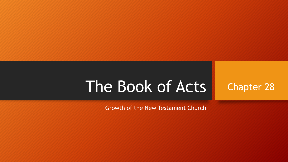# The Book of Acts

Chapter 28

Growth of the New Testament Church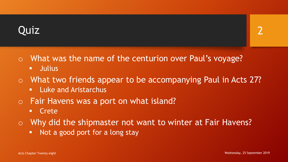## Quiz

- o What was the name of the centurion over Paul's voyage?
	- Julius
- o What two friends appear to be accompanying Paul in Acts 27?
	- **E.** Luke and Aristarchus
- o Fair Havens was a port on what island?
	- Crete
- o Why did the shipmaster not want to winter at Fair Havens?
	- Not a good port for a long stay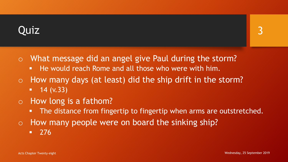## Quiz

- o What message did an angel give Paul during the storm?
	- He would reach Rome and all those who were with him.
- o How many days (at least) did the ship drift in the storm?  $-14$  (v.33)
- o How long is a fathom?
	- **The distance from fingertip to fingertip when arms are outstretched.**
- o How many people were on board the sinking ship?
	- $-276$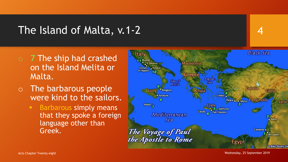### The Island of Malta, v.1-2

- o **7** The ship had crashed on the Island Melita or Malta.
- o The barbarous people were kind to the sailors.
	- **Barbarous simply means** that they spoke a foreign language other than Greek.



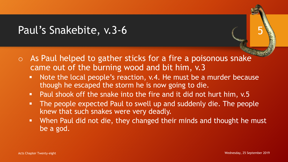## Paul's Snakebite, v.3-6

- $\circ$  As Paul helped to gather sticks for a fire a poisonous snake came out of the burning wood and bit him, v.3
	- Note the local people's reaction, v.4. He must be a murder because though he escaped the storm he is now going to die.
	- Paul shook off the snake into the fire and it did not hurt him, v.5
	- **The people expected Paul to swell up and suddenly die. The people** knew that such snakes were very deadly.
	- When Paul did not die, they changed their minds and thought he must be a god.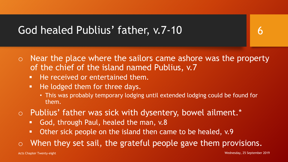## God healed Publius' father, v.7-10

- $\circ$  Near the place where the sailors came ashore was the property of the chief of the island named Publius, v.7
	- **He received or entertained them.**
	- He lodged them for three days.
		- This was probably temporary lodging until extended lodging could be found for them.
- o Publius' father was sick with dysentery, bowel ailment.\*
	- God, through Paul, healed the man, v.8
	- Other sick people on the island then came to be healed, v.9
- $\circ$  When they set sail, the grateful people gave them provisions.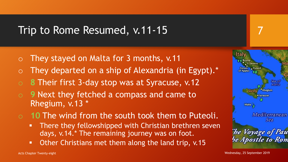#### Trip to Rome Resumed, v.11-15

- They stayed on Malta for 3 months, v.11
- They departed on a ship of Alexandria (in Egypt).\*
- 8 Their first 3-day stop was at Syracuse, v.12
- o **9** Next they fetched a compass and came to Rhegium, v.13 \*
- o **10** The wind from the south took them to Puteoli.
	- **There they fellowshipped with Christian brethren seven** days, v.14.\* The remaining journey was on foot.
	- **Other Christians met them along the land trip, v.15**

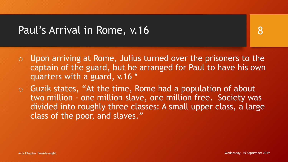#### Paul's Arrival in Rome, v.16

- o Upon arriving at Rome, Julius turned over the prisoners to the captain of the guard, but he arranged for Paul to have his own quarters with a guard, v.16 \*
- $\circ$  Guzik states, "At the time, Rome had a population of about two million - one million slave, one million free. Society was divided into roughly three classes: A small upper class, a large class of the poor, and slaves."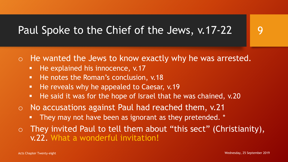## Paul Spoke to the Chief of the Jews, v.17-22

o He wanted the Jews to know exactly why he was arrested.

- He explained his innocence, v.17
- He notes the Roman's conclusion, v.18
- He reveals why he appealed to Caesar, v.19
- He said it was for the hope of Israel that he was chained, v.20
- o No accusations against Paul had reached them, v.21
	- **They may not have been as ignorant as they pretended.** \*
- o They invited Paul to tell them about "this sect" (Christianity), v.22. What a wonderful invitation!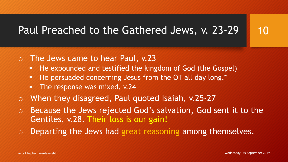# Paul Preached to the Gathered Jews, v. 23-29

- o The Jews came to hear Paul, v.23
	- He expounded and testified the kingdom of God (the Gospel)
	- He persuaded concerning Jesus from the OT all day long.\*
	- The response was mixed, v.24
- o When they disagreed, Paul quoted Isaiah, v.25-27
- Because the Jews rejected God's salvation, God sent it to the Gentiles, v.28. Their loss is our gain!
- Departing the Jews had great reasoning among themselves.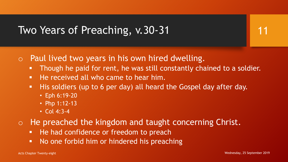### Two Years of Preaching, v.30-31

- o Paul lived two years in his own hired dwelling.
	- **Though he paid for rent, he was still constantly chained to a soldier.**
	- He received all who came to hear him.
	- His soldiers (up to 6 per day) all heard the Gospel day after day.
		- Eph 6:19-20
		- Php 1:12-13
		- Col 4:3-4
- o He preached the kingdom and taught concerning Christ.
	- He had confidence or freedom to preach
	- No one forbid him or hindered his preaching